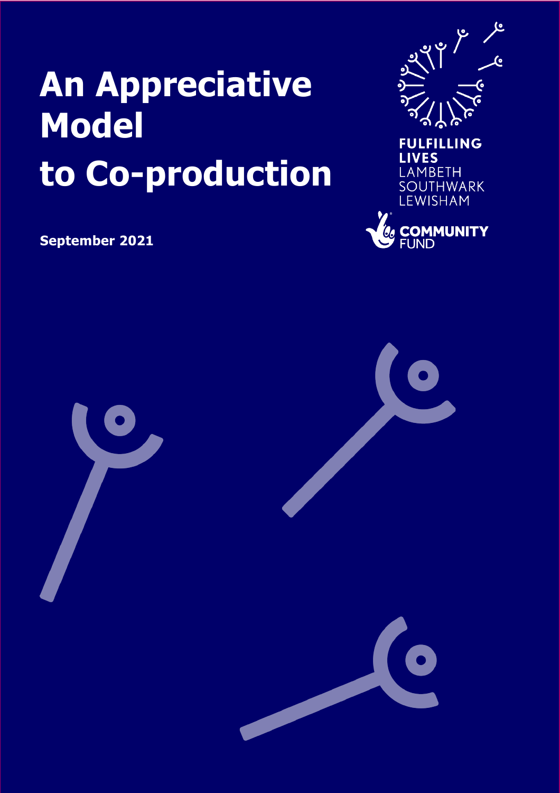# **An Appreciative Model to Co-production**



LEWISHAM

**EN COMMUNITY** 

**September 2021**

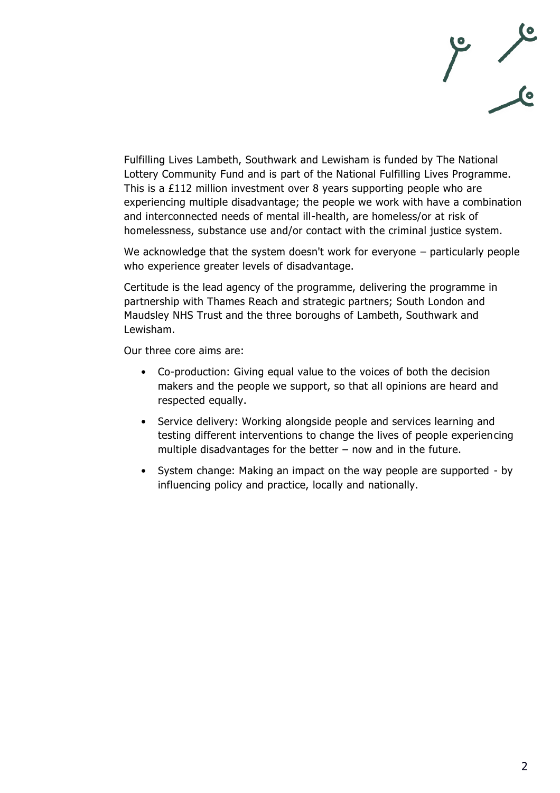

Fulfilling Lives Lambeth, Southwark and Lewisham is funded by The National Lottery Community Fund and is part of the National Fulfilling Lives Programme. This is a £112 million investment over 8 years supporting people who are experiencing multiple disadvantage; the people we work with have a combination and interconnected needs of mental ill-health, are homeless/or at risk of homelessness, substance use and/or contact with the criminal justice system.

We acknowledge that the system doesn't work for everyone – particularly people who experience greater levels of disadvantage.

Certitude is the lead agency of the programme, delivering the programme in partnership with Thames Reach and strategic partners; South London and Maudsley NHS Trust and the three boroughs of Lambeth, Southwark and Lewisham.

Our three core aims are:

- Co-production: Giving equal value to the voices of both the decision makers and the people we support, so that all opinions are heard and respected equally.
- Service delivery: Working alongside people and services learning and testing different interventions to change the lives of people experiencing multiple disadvantages for the better – now and in the future.
- System change: Making an impact on the way people are supported by influencing policy and practice, locally and nationally.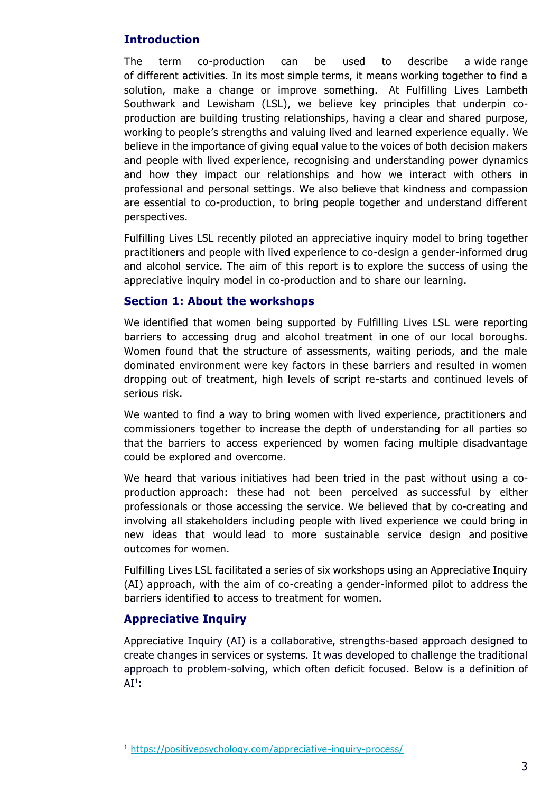# **Introduction**

The term co-production can be used to describe a wide range of different activities. In its most simple terms, it means working together to find a solution, make a change or improve something. At Fulfilling Lives Lambeth Southwark and Lewisham (LSL), we believe key principles that underpin coproduction are building trusting relationships, having a clear and shared purpose, working to people's strengths and valuing lived and learned experience equally. We believe in the importance of giving equal value to the voices of both decision makers and people with lived experience, recognising and understanding power dynamics and how they impact our relationships and how we interact with others in professional and personal settings. We also believe that kindness and compassion are essential to co-production, to bring people together and understand different perspectives.

Fulfilling Lives LSL recently piloted an appreciative inquiry model to bring together practitioners and people with lived experience to co-design a gender-informed drug and alcohol service. The aim of this report is to explore the success of using the appreciative inquiry model in co-production and to share our learning.

#### **Section 1: About the workshops**

We identified that women being supported by Fulfilling Lives LSL were reporting barriers to accessing drug and alcohol treatment in one of our local boroughs. Women found that the structure of assessments, waiting periods, and the male dominated environment were key factors in these barriers and resulted in women dropping out of treatment, high levels of script re-starts and continued levels of serious risk.

We wanted to find a way to bring women with lived experience, practitioners and commissioners together to increase the depth of understanding for all parties so that the barriers to access experienced by women facing multiple disadvantage could be explored and overcome.

We heard that various initiatives had been tried in the past without using a coproduction approach: these had not been perceived as successful by either professionals or those accessing the service. We believed that by co-creating and involving all stakeholders including people with lived experience we could bring in new ideas that would lead to more sustainable service design and positive outcomes for women.

Fulfilling Lives LSL facilitated a series of six workshops using an Appreciative Inquiry (AI) approach, with the aim of co-creating a gender-informed pilot to address the barriers identified to access to treatment for women.

## **Appreciative Inquiry**

Appreciative Inquiry (AI) is a collaborative, strengths-based approach designed to create changes in services or systems. It was developed to challenge the traditional approach to problem-solving, which often deficit focused. Below is a definition of  $\mathsf{AI}^1$  :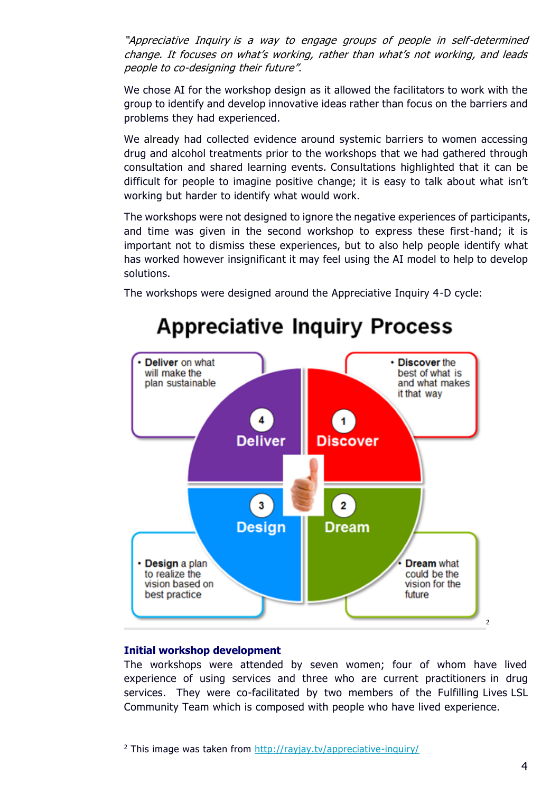"Appreciative Inquiry is a way to engage groups of people in self-determined change. It focuses on what's working, rather than what's not working, and leads people to co-designing their future".

We chose AI for the workshop design as it allowed the facilitators to work with the group to identify and develop innovative ideas rather than focus on the barriers and problems they had experienced.

We already had collected evidence around systemic barriers to women accessing drug and alcohol treatments prior to the workshops that we had gathered through consultation and shared learning events. Consultations highlighted that it can be difficult for people to imagine positive change; it is easy to talk about what isn't working but harder to identify what would work.

The workshops were not designed to ignore the negative experiences of participants, and time was given in the second workshop to express these first-hand; it is important not to dismiss these experiences, but to also help people identify what has worked however insignificant it may feel using the AI model to help to develop solutions.

The workshops were designed around the Appreciative Inquiry 4-D cycle:



# **Appreciative Inquiry Process**

#### **Initial workshop development**

The workshops were attended by seven women; four of whom have lived experience of using services and three who are current practitioners in drug services. They were co-facilitated by two members of the Fulfilling Lives LSL Community Team which is composed with people who have lived experience.

<sup>2</sup> This image was taken from<http://rayjay.tv/appreciative-inquiry/>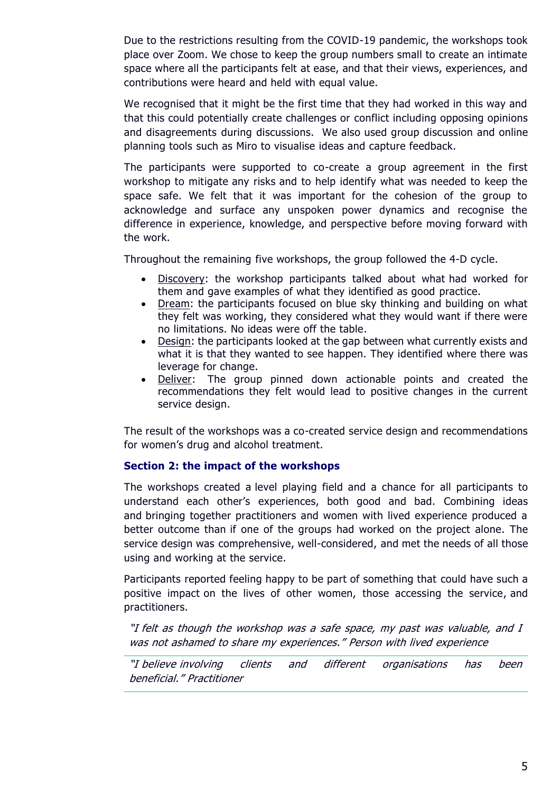Due to the restrictions resulting from the COVID-19 pandemic, the workshops took place over Zoom. We chose to keep the group numbers small to create an intimate space where all the participants felt at ease, and that their views, experiences, and contributions were heard and held with equal value.

We recognised that it might be the first time that they had worked in this way and that this could potentially create challenges or conflict including opposing opinions and disagreements during discussions. We also used group discussion and online planning tools such as Miro to visualise ideas and capture feedback.

The participants were supported to co-create a group agreement in the first workshop to mitigate any risks and to help identify what was needed to keep the space safe. We felt that it was important for the cohesion of the group to acknowledge and surface any unspoken power dynamics and recognise the difference in experience, knowledge, and perspective before moving forward with the work.

Throughout the remaining five workshops, the group followed the 4-D cycle.

- Discovery: the workshop participants talked about what had worked for them and gave examples of what they identified as good practice.
- Dream: the participants focused on blue sky thinking and building on what they felt was working, they considered what they would want if there were no limitations. No ideas were off the table.
- Design: the participants looked at the gap between what currently exists and what it is that they wanted to see happen. They identified where there was leverage for change.
- Deliver: The group pinned down actionable points and created the recommendations they felt would lead to positive changes in the current service design.

The result of the workshops was a co-created service design and recommendations for women's drug and alcohol treatment.

#### **Section 2: the impact of the workshops**

The workshops created a level playing field and a chance for all participants to understand each other's experiences, both good and bad. Combining ideas and bringing together practitioners and women with lived experience produced a better outcome than if one of the groups had worked on the project alone. The service design was comprehensive, well-considered, and met the needs of all those using and working at the service.

Participants reported feeling happy to be part of something that could have such a positive impact on the lives of other women, those accessing the service, and practitioners.

"I felt as though the workshop was a safe space, my past was valuable, and I was not ashamed to share my experiences." Person with lived experience

"I believe involving clients and different organisations has been beneficial." Practitioner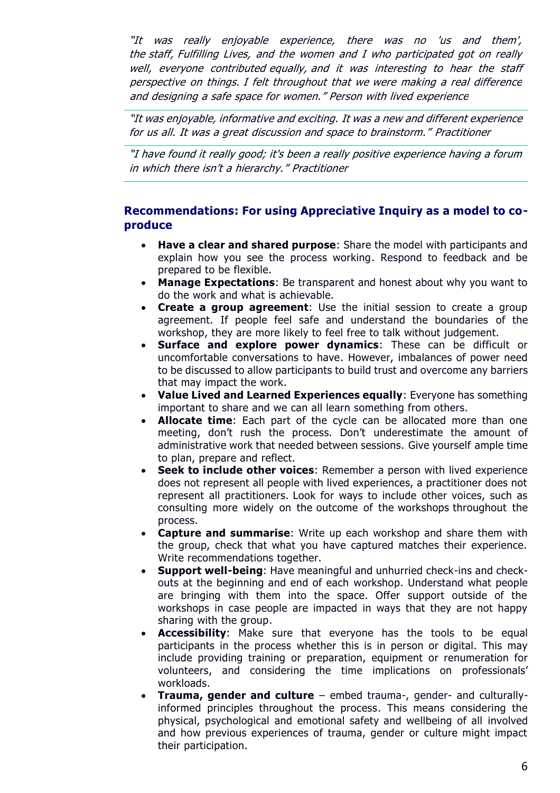"It was really enjoyable experience, there was no 'us and them', the staff, Fulfilling Lives, and the women and I who participated got on really well, everyone contributed equally, and it was interesting to hear the staff perspective on things. I felt throughout that we were making <sup>a</sup> real difference and designing <sup>a</sup> safe space for women." Person with lived experience

"It was enjoyable, informative and exciting. It was a new and different experience for us all. It was a great discussion and space to brainstorm." Practitioner

"I have found it really good; it's been a really positive experience having a forum in which there isn't a hierarchy." Practitioner

# **Recommendations: For using Appreciative Inquiry as a model to coproduce**

- **Have a clear and shared purpose**: Share the model with participants and explain how you see the process working. Respond to feedback and be prepared to be flexible.
- **Manage Expectations**: Be transparent and honest about why you want to do the work and what is achievable.
- **Create a group agreement**: Use the initial session to create a group agreement. If people feel safe and understand the boundaries of the workshop, they are more likely to feel free to talk without judgement.
- **Surface and explore power dynamics**: These can be difficult or uncomfortable conversations to have. However, imbalances of power need to be discussed to allow participants to build trust and overcome any barriers that may impact the work.
- **Value Lived and Learned Experiences equally**: Everyone has something important to share and we can all learn something from others.
- **Allocate time**: Each part of the cycle can be allocated more than one meeting, don't rush the process. Don't underestimate the amount of administrative work that needed between sessions. Give yourself ample time to plan, prepare and reflect.
- **Seek to include other voices**: Remember a person with lived experience does not represent all people with lived experiences, a practitioner does not represent all practitioners. Look for ways to include other voices, such as consulting more widely on the outcome of the workshops throughout the process.
- **Capture and summarise**: Write up each workshop and share them with the group, check that what you have captured matches their experience. Write recommendations together.
- **Support well-being**: Have meaningful and unhurried check-ins and checkouts at the beginning and end of each workshop. Understand what people are bringing with them into the space. Offer support outside of the workshops in case people are impacted in ways that they are not happy sharing with the group.
- **Accessibility**: Make sure that everyone has the tools to be equal participants in the process whether this is in person or digital. This may include providing training or preparation, equipment or renumeration for volunteers, and considering the time implications on professionals' workloads.
- **Trauma, gender and culture** embed trauma-, gender- and culturallyinformed principles throughout the process. This means considering the physical, psychological and emotional safety and wellbeing of all involved and how previous experiences of trauma, gender or culture might impact their participation.